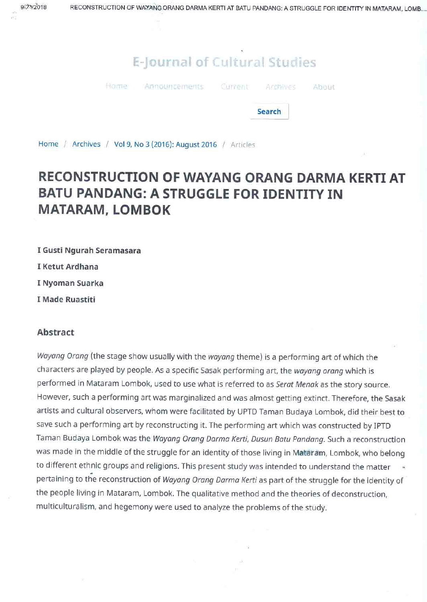## E-Journal of Cultural Studies



# RECONSTRUCTION OF WAYANG ORANG DARMA KERTI AT **BATU PANDANG: A STRUGGLE FOR IDENTITY IN MATARAM, LOMBOK**

I Gusti Ngurah Seramasara

I Ketut Ardhana

I Nyoman Suarka

I Made Ruastiti

### **Abstract**

Wayang Orang (the stage show usually with the wayang theme) is a performing art of which the characters are played by people. As a specific Sasak performing art, the wayang orang which is performed in Mataram Lombok, used to use what is referred to as Serat Menak as the story source. However, such a performing art was marginalized and was almost getting extinct. Therefore, the Sasak artists and cultural observers, whom were facilitated by UPTD Taman Budaya Lombok, did their best to save such a performing art by reconstructing it. The performing art which was constructed by IPTD Taman Budaya Lombok was the Wayang Orang Darma Kerti, Dusun Batu Pandang. Such a reconstruction was made in the middle of the struggle for an identity of those living in Mataram, Lombok, who belong to different ethnic groups and religions. This present study was intended to understand the matter pertaining to the reconstruction of Wayang Orang Darma Kerti as part of the struggle for the identity of the people living in Mataram, Lombok. The qualitative method and the theories of deconstruction, multiculturalism, and hegemony were used to analyze the problems of the study.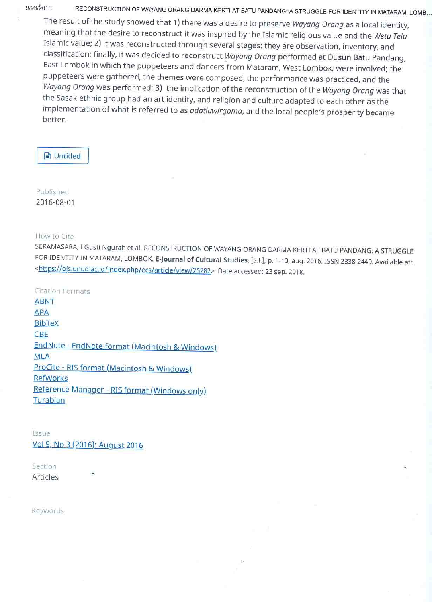9/23/2018

RECONSTRUCTION OF WAYANG ORANG DARMA KERTI AT BATU PANDANG: A STRUGGLE FOR IDENTITY IN MATARAM, LOMB...

The result of the study showed that 1) there was a desire to preserve Wayang Orang as a local identity, meaning that the desire to reconstruct it was inspired by the Islamic religious value and the Wetu Telu Islamic value; 2) it was reconstructed through several stages; they are observation, inventory, and classification; finally, it was decided to reconstruct Wayang Orang performed at Dusun Batu Pandang, East Lombok in which the puppeteers and dancers from Mataram, West Lombok, were involved; the puppeteers were gathered, the themes were composed, the performance was practiced, and the Wayang Orang was performed; 3) the implication of the reconstruction of the Wayang Orang was that the Sasak ethnic group had an art identity, and religion and culture adapted to each other as the implementation of what is referred to as adatluwirgama, and the local people's prosperity became better.

### **A** Untitled

Published 2016-08-01

### How to Cite

SERAMASARA, I Gusti Ngurah et al. RECONSTRUCTION OF WAYANG ORANG DARMA KERTI AT BATU PANDANG: A STRUGGLE FOR IDENTITY IN MATARAM, LOMBOK. E-Journal of Cultural Studies, [S.l.], p. 1-10, aug. 2016. ISSN 2338-2449. Available at: <https://ojs.unud.ac.id/index.php/ecs/article/view/25282>. Date accessed: 23 sep. 2018.

**Citation Formats ABNT APA** 

## **BibTeX**

### **CBE**

EndNote - EndNote format (Macintosh & Windows) **MLA** 

ProCite - RIS format (Macintosh & Windows)

### **RefWorks**

Reference Manager - RIS format (Windows only) Turabian

Issue Vol 9, No 3 (2016): August 2016

Section Articles

Keywords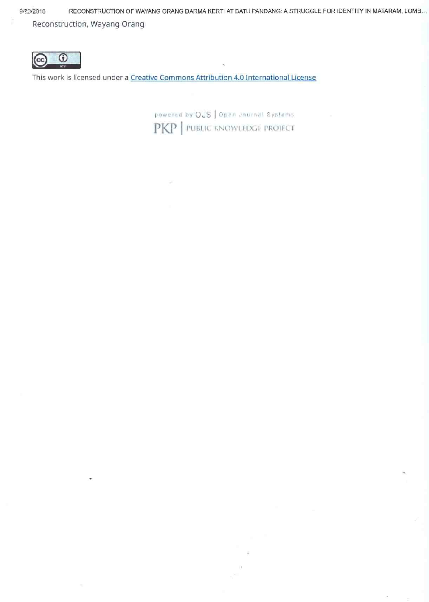9/23/2018

RECONSTRUCTION OF WAYANG ORANG DARMA KERTI AT BATU PANDANG: A STRUGGLE FOR IDENTITY IN MATARAM, LOMB... Reconstruction, Wayang Orang



This work is licensed under a Creative Commons Attribution 4.0 International License

powered by OJS | Open Journal Systems PKP | PUBLIC KNOWLEDGE PROJECT

ø,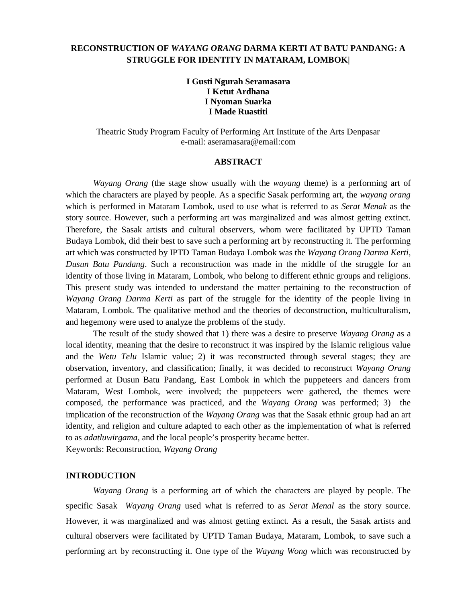#### **RECONSTRUCTION OF** *WAYANG ORANG* **DARMA KERTI AT BATU PANDANG: A STRUGGLE FOR IDENTITY IN MATARAM, LOMBOK|**

**I Gusti Ngurah Seramasara I Ketut Ardhana I Nyoman Suarka I Made Ruastiti**

Theatric Study Program Faculty of Performing Art Institute of the Arts Denpasar e-mail: aseramasara@email:com

#### **ABSTRACT**

*Wayang Orang* (the stage show usually with the *wayang* theme) is a performing art of which the characters are played by people. As a specific Sasak performing art, the *wayang orang* which is performed in Mataram Lombok, used to use what is referred to as *Serat Menak* as the story source. However, such a performing art was marginalized and was almost getting extinct. Therefore, the Sasak artists and cultural observers, whom were facilitated by UPTD Taman Budaya Lombok, did their best to save such a performing art by reconstructing it. The performing art which was constructed by IPTD Taman Budaya Lombok was the *Wayang Orang Darma Kerti*, *Dusun Batu Pandang*. Such a reconstruction was made in the middle of the struggle for an identity of those living in Mataram, Lombok, who belong to different ethnic groups and religions. This present study was intended to understand the matter pertaining to the reconstruction of *Wayang Orang Darma Kerti* as part of the struggle for the identity of the people living in Mataram, Lombok. The qualitative method and the theories of deconstruction, multiculturalism, and hegemony were used to analyze the problems of the study.

The result of the study showed that 1) there was a desire to preserve *Wayang Orang* as a local identity, meaning that the desire to reconstruct it was inspired by the Islamic religious value and the *Wetu Telu* Islamic value; 2) it was reconstructed through several stages; they are observation, inventory, and classification; finally, it was decided to reconstruct *Wayang Orang* performed at Dusun Batu Pandang, East Lombok in which the puppeteers and dancers from Mataram, West Lombok, were involved; the puppeteers were gathered, the themes were composed, the performance was practiced, and the *Wayang Orang* was performed; 3) the implication of the reconstruction of the *Wayang Orang* was that the Sasak ethnic group had an art identity, and religion and culture adapted to each other as the implementation of what is referred to as *adatluwirgama*, and the local people's prosperity became better.

Keywords: Reconstruction, *Wayang Orang*

#### **INTRODUCTION**

*Wayang Orang* is a performing art of which the characters are played by people. The specific Sasak *Wayang Orang* used what is referred to as *Serat Menal* as the story source. However, it was marginalized and was almost getting extinct. As a result, the Sasak artists and cultural observers were facilitated by UPTD Taman Budaya, Mataram, Lombok, to save such a performing art by reconstructing it. One type of the *Wayang Wong* which was reconstructed by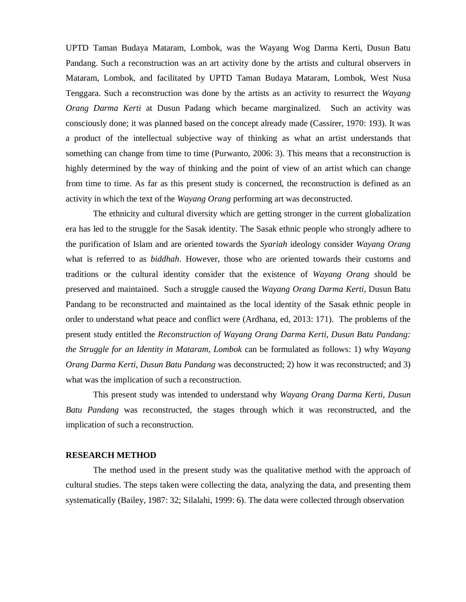UPTD Taman Budaya Mataram, Lombok, was the Wayang Wog Darma Kerti, Dusun Batu Pandang. Such a reconstruction was an art activity done by the artists and cultural observers in Mataram, Lombok, and facilitated by UPTD Taman Budaya Mataram, Lombok, West Nusa Tenggara. Such a reconstruction was done by the artists as an activity to resurrect the *Wayang Orang Darma Kerti* at Dusun Padang which became marginalized. Such an activity was consciously done; it was planned based on the concept already made (Cassirer, 1970: 193). It was a product of the intellectual subjective way of thinking as what an artist understands that something can change from time to time (Purwanto, 2006: 3). This means that a reconstruction is highly determined by the way of thinking and the point of view of an artist which can change from time to time. As far as this present study is concerned, the reconstruction is defined as an activity in which the text of the *Wayang Orang* performing art was deconstructed.

The ethnicity and cultural diversity which are getting stronger in the current globalization era has led to the struggle for the Sasak identity. The Sasak ethnic people who strongly adhere to the purification of Islam and are oriented towards the *Syariah* ideology consider *Wayang Orang* what is referred to as *biddhah*. However, those who are oriented towards their customs and traditions or the cultural identity consider that the existence of *Wayang Orang* should be preserved and maintained. Such a struggle caused the *Wayang Orang Darma Kerti*, Dusun Batu Pandang to be reconstructed and maintained as the local identity of the Sasak ethnic people in order to understand what peace and conflict were (Ardhana, ed, 2013: 171). The problems of the present study entitled the *Reconstruction of Wayang Orang Darma Kerti, Dusun Batu Pandang: the Struggle for an Identity in Mataram, Lombok* can be formulated as follows: 1) why *Wayang Orang Darma Kerti, Dusun Batu Pandang* was deconstructed; 2) how it was reconstructed; and 3) what was the implication of such a reconstruction.

This present study was intended to understand why *Wayang Orang Darma Kerti, Dusun Batu Pandang* was reconstructed, the stages through which it was reconstructed, and the implication of such a reconstruction.

#### **RESEARCH METHOD**

The method used in the present study was the qualitative method with the approach of cultural studies. The steps taken were collecting the data, analyzing the data, and presenting them systematically (Bailey, 1987: 32; Silalahi, 1999: 6). The data were collected through observation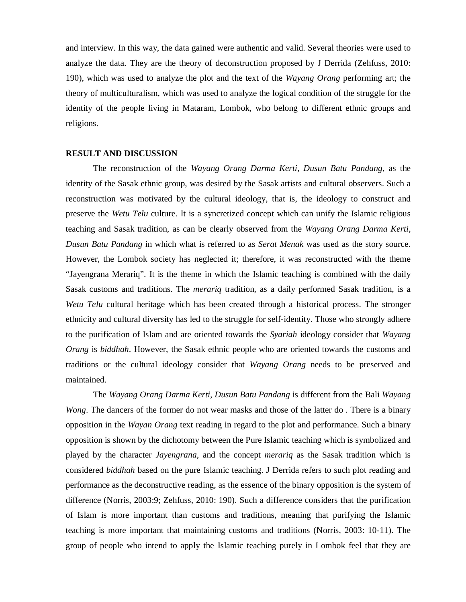and interview. In this way, the data gained were authentic and valid. Several theories were used to analyze the data. They are the theory of deconstruction proposed by J Derrida (Zehfuss, 2010: 190), which was used to analyze the plot and the text of the *Wayang Orang* performing art; the theory of multiculturalism, which was used to analyze the logical condition of the struggle for the identity of the people living in Mataram, Lombok, who belong to different ethnic groups and religions.

#### **RESULT AND DISCUSSION**

The reconstruction of the *Wayang Orang Darma Kerti*, *Dusun Batu Pandang*, as the identity of the Sasak ethnic group, was desired by the Sasak artists and cultural observers. Such a reconstruction was motivated by the cultural ideology, that is, the ideology to construct and preserve the *Wetu Telu* culture. It is a syncretized concept which can unify the Islamic religious teaching and Sasak tradition, as can be clearly observed from the *Wayang Orang Darma Kerti*, *Dusun Batu Pandang* in which what is referred to as *Serat Menak* was used as the story source. However, the Lombok society has neglected it; therefore, it was reconstructed with the theme "Jayengrana Merariq". It is the theme in which the Islamic teaching is combined with the daily Sasak customs and traditions. The *merariq* tradition, as a daily performed Sasak tradition, is a *Wetu Telu* cultural heritage which has been created through a historical process. The stronger ethnicity and cultural diversity has led to the struggle for self-identity. Those who strongly adhere to the purification of Islam and are oriented towards the *Syariah* ideology consider that *Wayang Orang* is *biddhah*. However, the Sasak ethnic people who are oriented towards the customs and traditions or the cultural ideology consider that *Wayang Orang* needs to be preserved and maintained.

The *Wayang Orang Darma Kerti, Dusun Batu Pandang* is different from the Bali *Wayang Wong*. The dancers of the former do not wear masks and those of the latter do . There is a binary opposition in the *Wayan Orang* text reading in regard to the plot and performance. Such a binary opposition is shown by the dichotomy between the Pure Islamic teaching which is symbolized and played by the character *Jayengrana*, and the concept *merariq* as the Sasak tradition which is considered *biddhah* based on the pure Islamic teaching. J Derrida refers to such plot reading and performance as the deconstructive reading, as the essence of the binary opposition is the system of difference (Norris, 2003:9; Zehfuss, 2010: 190). Such a difference considers that the purification of Islam is more important than customs and traditions, meaning that purifying the Islamic teaching is more important that maintaining customs and traditions (Norris, 2003: 10-11). The group of people who intend to apply the Islamic teaching purely in Lombok feel that they are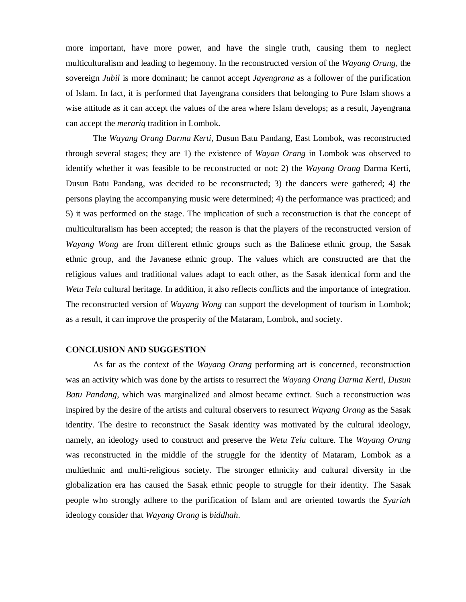more important, have more power, and have the single truth, causing them to neglect multiculturalism and leading to hegemony. In the reconstructed version of the *Wayang Orang*, the sovereign *Jubil* is more dominant; he cannot accept *Jayengrana* as a follower of the purification of Islam. In fact, it is performed that Jayengrana considers that belonging to Pure Islam shows a wise attitude as it can accept the values of the area where Islam develops; as a result, Jayengrana can accept the *merariq* tradition in Lombok.

The *Wayang Orang Darma Kerti*, Dusun Batu Pandang, East Lombok, was reconstructed through several stages; they are 1) the existence of *Wayan Orang* in Lombok was observed to identify whether it was feasible to be reconstructed or not; 2) the *Wayang Orang* Darma Kerti, Dusun Batu Pandang, was decided to be reconstructed; 3) the dancers were gathered; 4) the persons playing the accompanying music were determined; 4) the performance was practiced; and 5) it was performed on the stage. The implication of such a reconstruction is that the concept of multiculturalism has been accepted; the reason is that the players of the reconstructed version of *Wayang Wong* are from different ethnic groups such as the Balinese ethnic group, the Sasak ethnic group, and the Javanese ethnic group. The values which are constructed are that the religious values and traditional values adapt to each other, as the Sasak identical form and the *Wetu Telu* cultural heritage. In addition, it also reflects conflicts and the importance of integration. The reconstructed version of *Wayang Wong* can support the development of tourism in Lombok; as a result, it can improve the prosperity of the Mataram, Lombok, and society.

#### **CONCLUSION AND SUGGESTION**

As far as the context of the *Wayang Orang* performing art is concerned, reconstruction was an activity which was done by the artists to resurrect the *Wayang Orang Darma Kerti*, *Dusun Batu Pandang*, which was marginalized and almost became extinct. Such a reconstruction was inspired by the desire of the artists and cultural observers to resurrect *Wayang Orang* as the Sasak identity. The desire to reconstruct the Sasak identity was motivated by the cultural ideology, namely, an ideology used to construct and preserve the *Wetu Telu* culture. The *Wayang Orang* was reconstructed in the middle of the struggle for the identity of Mataram, Lombok as a multiethnic and multi-religious society. The stronger ethnicity and cultural diversity in the globalization era has caused the Sasak ethnic people to struggle for their identity. The Sasak people who strongly adhere to the purification of Islam and are oriented towards the *Syariah*  ideology consider that *Wayang Orang* is *biddhah*.